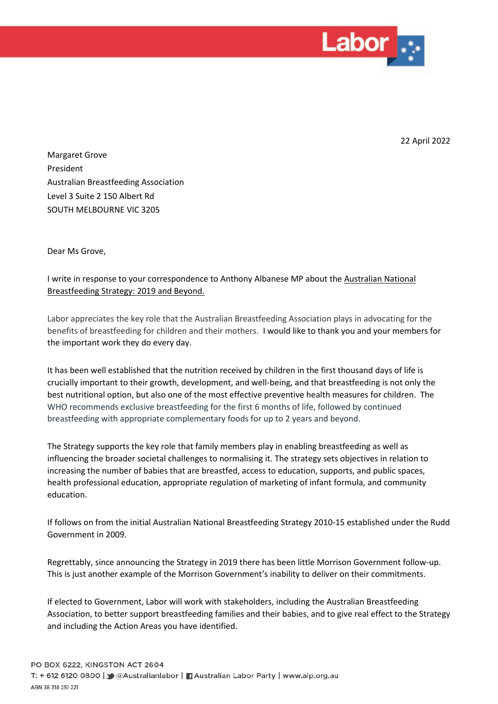

22 April 2022

Margaret Grove President Australian Breastfeeding Association Level 3 Suite 2 150 Albert Rd SOUTH MELBOURNE VIC 3205

Dear Ms Grove,

## I write in response to your correspondence to Anthony Albanese MP about the Australian National Breastfeeding Strategy: 2019 and Beyond.

Labor appreciates the key role that the Australian Breastfeeding Association plays in advocating for the benefits of breastfeeding for children and their mothers. I would like to thank you and your members for the important work they do every day.

It has been well established that the nutrition received by children in the first thousand days of life is crucially important to their growth, development, and well-being, and that breastfeeding is not only the best nutritional option, but also one of the most effective preventive health measures for children. The WHO recommends exclusive breastfeeding for the first 6 months of life, followed by continued breastfeeding with appropriate complementary foods for up to 2 years and beyond.

The Strategy supports the key role that family members play in enabling breastfeeding as well as influencing the broader societal challenges to normalising it. The strategy sets objectives in relation to increasing the number of babies that are breastfed, access to education, supports, and public spaces, health professional education, appropriate regulation of marketing of infant formula, and community education.

If follows on from the initial Australian National Breastfeeding Strategy 2010-15 established under the Rudd Government in 2009.

Regrettably, since announcing the Strategy in 2019 there has been little Morrison Government follow-up. This is just another example of the Morrison Government's inability to deliver on their commitments.

If elected to Government, Labor will work with stakeholders, including the Australian Breastfeeding Association, to better support breastfeeding families and their babies, and to give real effect to the Strategy and including the Action Areas you have identified.